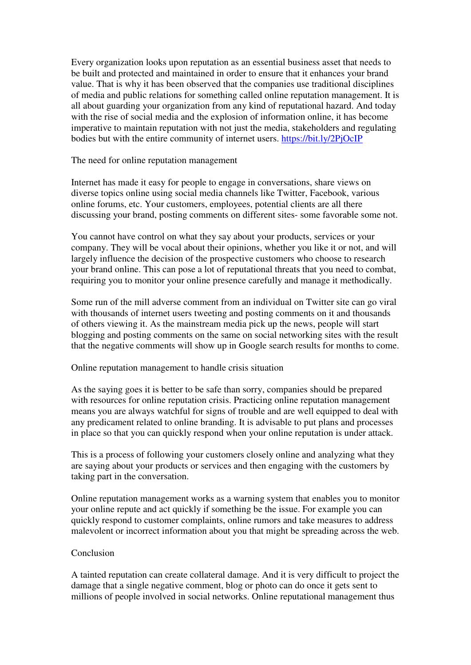Every organization looks upon reputation as an essential business asset that needs to be built and protected and maintained in order to ensure that it enhances your brand value. That is why it has been observed that the companies use traditional disciplines of media and public relations for something called online reputation management. It is all about guarding your organization from any kind of reputational hazard. And today with the rise of social media and the explosion of information online, it has become imperative to maintain reputation with not just the media, stakeholders and regulating bodies but with the entire community of internet users.<https://bit.ly/2PjOcIP>

The need for online reputation management

Internet has made it easy for people to engage in conversations, share views on diverse topics online using social media channels like Twitter, Facebook, various online forums, etc. Your customers, employees, potential clients are all there discussing your brand, posting comments on different sites- some favorable some not.

You cannot have control on what they say about your products, services or your company. They will be vocal about their opinions, whether you like it or not, and will largely influence the decision of the prospective customers who choose to research your brand online. This can pose a lot of reputational threats that you need to combat, requiring you to monitor your online presence carefully and manage it methodically.

Some run of the mill adverse comment from an individual on Twitter site can go viral with thousands of internet users tweeting and posting comments on it and thousands of others viewing it. As the mainstream media pick up the news, people will start blogging and posting comments on the same on social networking sites with the result that the negative comments will show up in Google search results for months to come.

## Online reputation management to handle crisis situation

As the saying goes it is better to be safe than sorry, companies should be prepared with resources for online reputation crisis. Practicing online reputation management means you are always watchful for signs of trouble and are well equipped to deal with any predicament related to online branding. It is advisable to put plans and processes in place so that you can quickly respond when your online reputation is under attack.

This is a process of following your customers closely online and analyzing what they are saying about your products or services and then engaging with the customers by taking part in the conversation.

Online reputation management works as a warning system that enables you to monitor your online repute and act quickly if something be the issue. For example you can quickly respond to customer complaints, online rumors and take measures to address malevolent or incorrect information about you that might be spreading across the web.

## Conclusion

A tainted reputation can create collateral damage. And it is very difficult to project the damage that a single negative comment, blog or photo can do once it gets sent to millions of people involved in social networks. Online reputational management thus